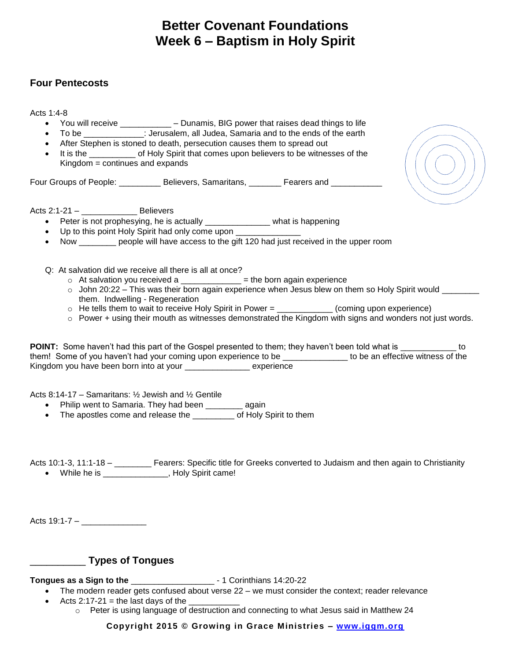## **Better Covenant Foundations Week 6 – Baptism in Holy Spirit**

## **Four Pentecosts**

Acts 1:4-8

- You will receive \_\_\_\_\_\_\_\_\_\_\_ Dunamis, BIG power that raises dead things to life
- To be \_\_\_\_\_\_\_\_\_\_\_\_\_: Jerusalem, all Judea, Samaria and to the ends of the earth
- After Stephen is stoned to death, persecution causes them to spread out
- It is the of Holy Spirit that comes upon believers to be witnesses of the Kingdom = continues and expands

Four Groups of People: Exercise Believers, Samaritans, Exercise and Zeners and Zeners and Zeneral Believers, Samaritans,

Acts 2:1-21 – \_\_\_\_\_\_\_\_\_\_\_\_ Believers

- Peter is not prophesying, he is actually example what is happening
- Up to this point Holy Spirit had only come upon
- Now beople will have access to the gift 120 had just received in the upper room
- Q: At salvation did we receive all there is all at once?
	- $\circ$  At salvation you received a \_\_\_\_\_\_\_\_\_\_\_\_\_ = the born again experience
	- $\circ$  John 20:22 This was their born again experience when Jesus blew on them so Holy Spirit would  $\overline{\phantom{a}}$ them. Indwelling - Regeneration
	- $\circ$  He tells them to wait to receive Holy Spirit in Power = \_\_\_\_\_\_\_\_\_\_\_\_ (coming upon experience)
	- $\circ$  Power + using their mouth as witnesses demonstrated the Kingdom with signs and wonders not just words.

**POINT:** Some haven't had this part of the Gospel presented to them; they haven't been told what is  $\blacksquare$ them! Some of you haven't had your coming upon experience to be \_\_\_\_\_\_\_\_\_\_\_\_\_\_ to be an effective witness of the Kingdom you have been born into at your \_\_\_\_\_\_\_\_\_\_\_\_\_\_ experience

Acts 8:14-17 – Samaritans: ½ Jewish and ½ Gentile

- Philip went to Samaria. They had been \_\_\_\_\_\_\_\_ again
- The apostles come and release the \_\_\_\_\_\_\_\_\_ of Holy Spirit to them

Acts 10:1-3, 11:1-18 – \_\_\_\_\_\_\_\_\_ Fearers: Specific title for Greeks converted to Judaism and then again to Christianity • While he is \_\_\_\_\_\_\_\_\_\_\_\_\_\_, Holy Spirit came!

Acts  $19:1 - 7 -$ 

## \_\_\_\_\_\_\_\_\_\_ **Types of Tongues**

**Tongues as a Sign to the** \_\_\_\_\_\_\_\_\_\_\_\_\_\_\_\_\_\_ - 1 Corinthians 14:20-22

- The modern reader gets confused about verse 22 we must consider the context; reader relevance
- Acts 2:17-21 = the last days of the
	- $\circ$  Peter is using language of destruction and connecting to what Jesus said in Matthew 24

**Copyright 2015 © Growing in Grace Ministries – [www.iggm.org](http://www.iggm.org/)**